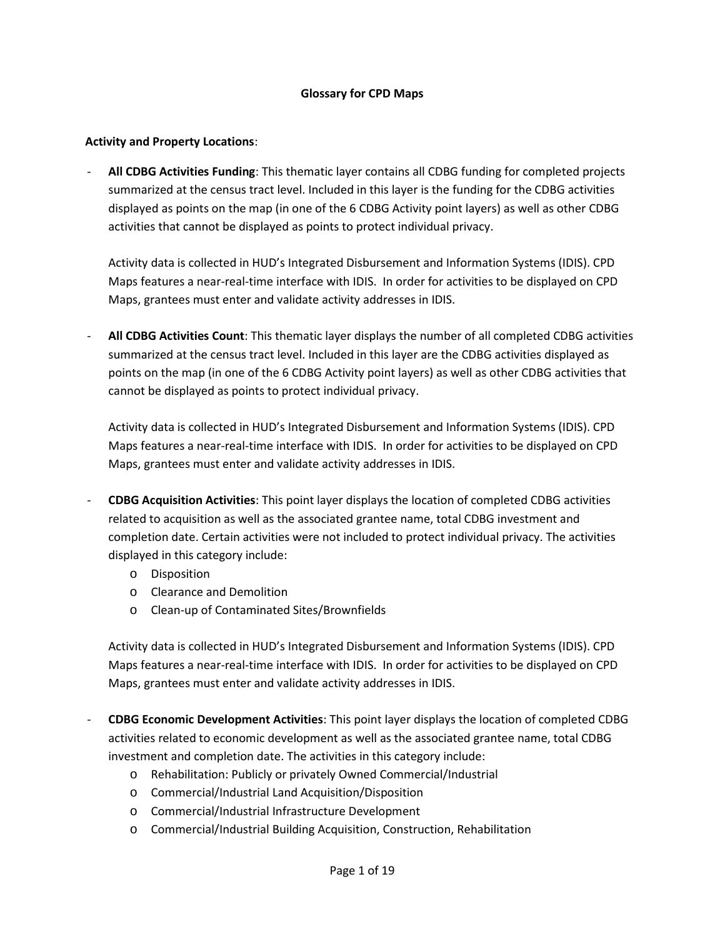## **Glossary for CPD Maps**

## **Activity and Property Locations**:

- **All CDBG Activities Funding**: This thematic layer contains all CDBG funding for completed projects summarized at the census tract level. Included in this layer is the funding for the CDBG activities displayed as points on the map (in one of the 6 CDBG Activity point layers) as well as other CDBG activities that cannot be displayed as points to protect individual privacy.

Activity data is collected in HUD's Integrated Disbursement and Information Systems (IDIS). CPD Maps features a near-real-time interface with IDIS. In order for activities to be displayed on CPD Maps, grantees must enter and validate activity addresses in IDIS.

- **All CDBG Activities Count**: This thematic layer displays the number of all completed CDBG activities summarized at the census tract level. Included in this layer are the CDBG activities displayed as points on the map (in one of the 6 CDBG Activity point layers) as well as other CDBG activities that cannot be displayed as points to protect individual privacy.

Activity data is collected in HUD's Integrated Disbursement and Information Systems (IDIS). CPD Maps features a near-real-time interface with IDIS. In order for activities to be displayed on CPD Maps, grantees must enter and validate activity addresses in IDIS.

- **CDBG Acquisition Activities**: This point layer displays the location of completed CDBG activities related to acquisition as well as the associated grantee name, total CDBG investment and completion date. Certain activities were not included to protect individual privacy. The activities displayed in this category include:
	- o Disposition
	- o Clearance and Demolition
	- o Clean-up of Contaminated Sites/Brownfields

Activity data is collected in HUD's Integrated Disbursement and Information Systems (IDIS). CPD Maps features a near-real-time interface with IDIS. In order for activities to be displayed on CPD Maps, grantees must enter and validate activity addresses in IDIS.

- **CDBG Economic Development Activities**: This point layer displays the location of completed CDBG activities related to economic development as well as the associated grantee name, total CDBG investment and completion date. The activities in this category include:
	- o Rehabilitation: Publicly or privately Owned Commercial/Industrial
	- o Commercial/Industrial Land Acquisition/Disposition
	- o Commercial/Industrial Infrastructure Development
	- o Commercial/Industrial Building Acquisition, Construction, Rehabilitation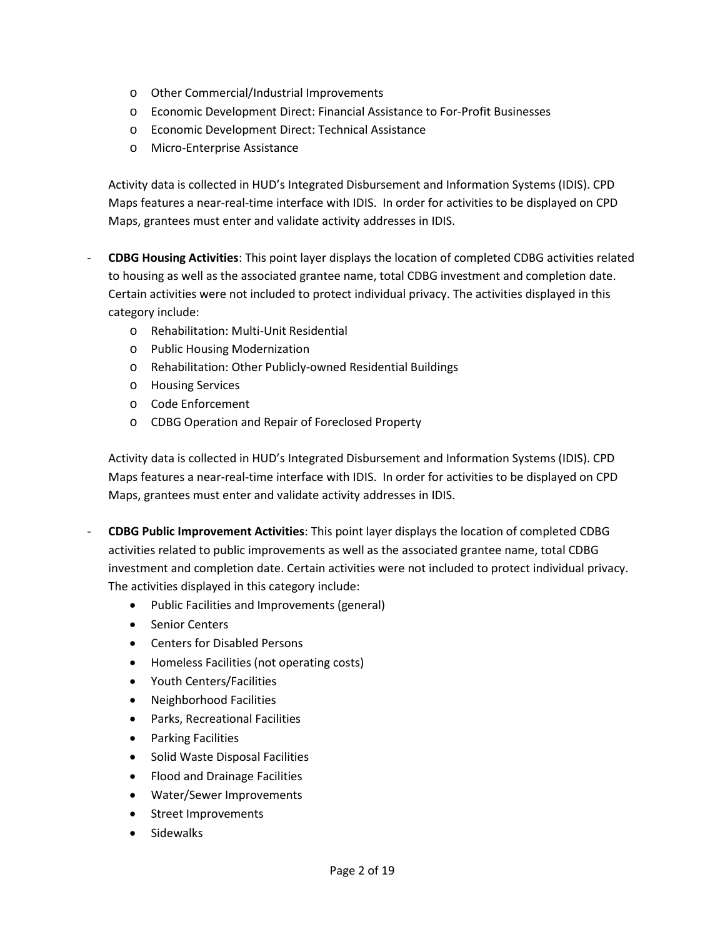- o Other Commercial/Industrial Improvements
- o Economic Development Direct: Financial Assistance to For-Profit Businesses
- o Economic Development Direct: Technical Assistance
- o Micro-Enterprise Assistance

Activity data is collected in HUD's Integrated Disbursement and Information Systems (IDIS). CPD Maps features a near-real-time interface with IDIS. In order for activities to be displayed on CPD Maps, grantees must enter and validate activity addresses in IDIS.

- **CDBG Housing Activities**: This point layer displays the location of completed CDBG activities related to housing as well as the associated grantee name, total CDBG investment and completion date. Certain activities were not included to protect individual privacy. The activities displayed in this category include:
	- o Rehabilitation: Multi-Unit Residential
	- o Public Housing Modernization
	- o Rehabilitation: Other Publicly-owned Residential Buildings
	- o Housing Services
	- o Code Enforcement
	- o CDBG Operation and Repair of Foreclosed Property

Activity data is collected in HUD's Integrated Disbursement and Information Systems (IDIS). CPD Maps features a near-real-time interface with IDIS. In order for activities to be displayed on CPD Maps, grantees must enter and validate activity addresses in IDIS.

- **CDBG Public Improvement Activities**: This point layer displays the location of completed CDBG activities related to public improvements as well as the associated grantee name, total CDBG investment and completion date. Certain activities were not included to protect individual privacy. The activities displayed in this category include:
	- Public Facilities and Improvements (general)
	- Senior Centers
	- Centers for Disabled Persons
	- Homeless Facilities (not operating costs)
	- Youth Centers/Facilities
	- Neighborhood Facilities
	- Parks, Recreational Facilities
	- Parking Facilities
	- Solid Waste Disposal Facilities
	- Flood and Drainage Facilities
	- Water/Sewer Improvements
	- Street Improvements
	- Sidewalks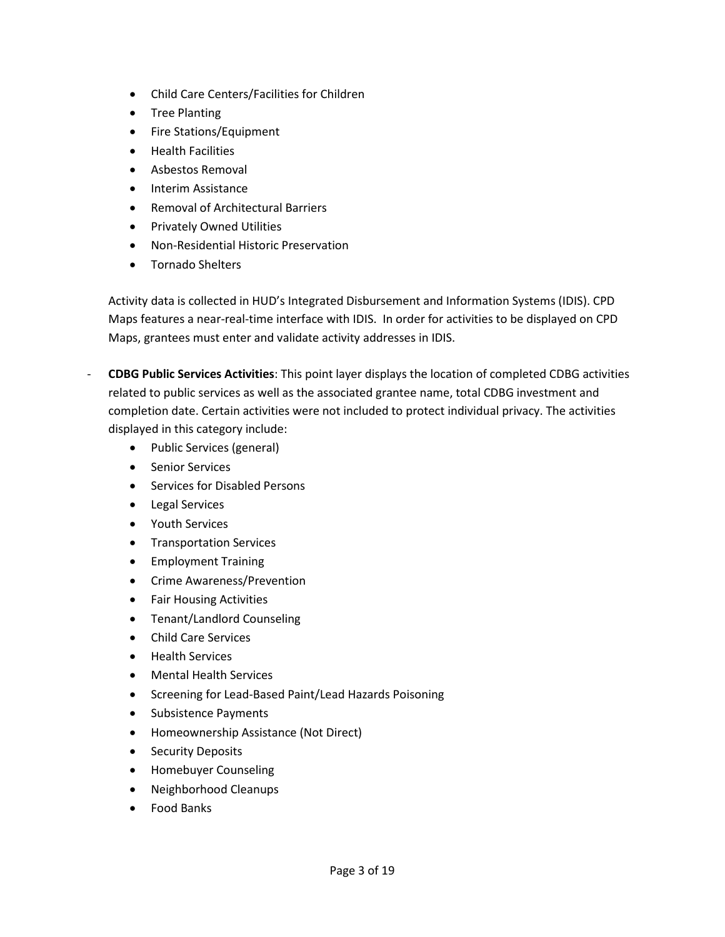- Child Care Centers/Facilities for Children
- Tree Planting
- Fire Stations/Equipment
- **•** Health Facilities
- Asbestos Removal
- Interim Assistance
- Removal of Architectural Barriers
- **•** Privately Owned Utilities
- Non-Residential Historic Preservation
- Tornado Shelters

Activity data is collected in HUD's Integrated Disbursement and Information Systems (IDIS). CPD Maps features a near-real-time interface with IDIS. In order for activities to be displayed on CPD Maps, grantees must enter and validate activity addresses in IDIS.

- **CDBG Public Services Activities**: This point layer displays the location of completed CDBG activities related to public services as well as the associated grantee name, total CDBG investment and completion date. Certain activities were not included to protect individual privacy. The activities displayed in this category include:
	- Public Services (general)
	- Senior Services
	- Services for Disabled Persons
	- Legal Services
	- Youth Services
	- **•** Transportation Services
	- Employment Training
	- **•** Crime Awareness/Prevention
	- Fair Housing Activities
	- Tenant/Landlord Counseling
	- Child Care Services
	- **•** Health Services
	- Mental Health Services
	- Screening for Lead-Based Paint/Lead Hazards Poisoning
	- Subsistence Payments
	- Homeownership Assistance (Not Direct)
	- Security Deposits
	- Homebuyer Counseling
	- Neighborhood Cleanups
	- Food Banks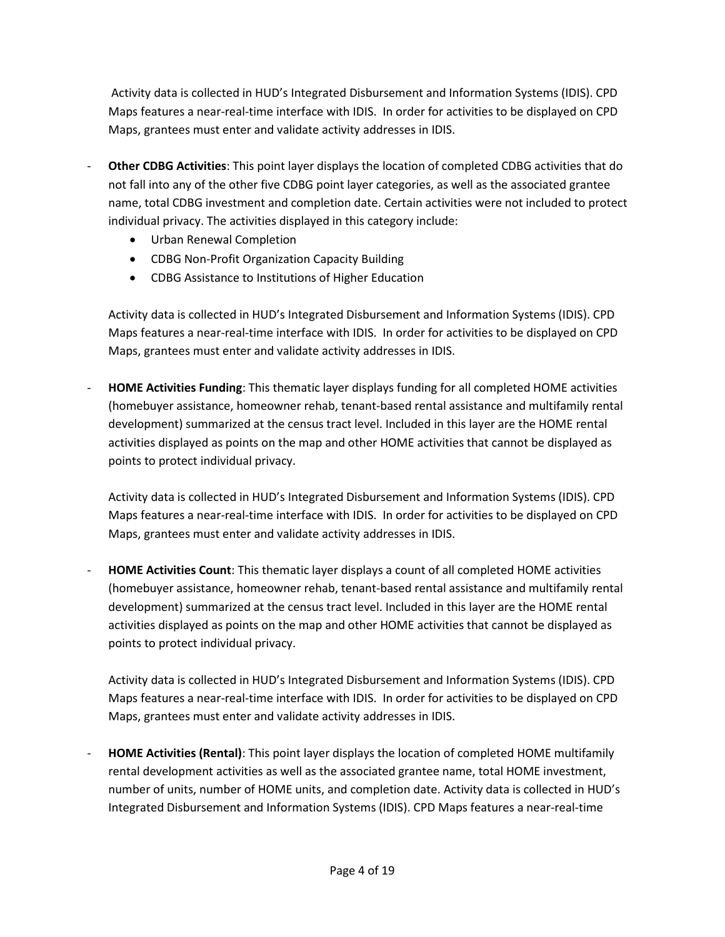Activity data is collected in HUD's Integrated Disbursement and Information Systems (IDIS). CPD Maps features a near-real-time interface with IDIS. In order for activities to be displayed on CPD Maps, grantees must enter and validate activity addresses in IDIS.

- **Other CDBG Activities**: This point layer displays the location of completed CDBG activities that do not fall into any of the other five CDBG point layer categories, as well as the associated grantee name, total CDBG investment and completion date. Certain activities were not included to protect individual privacy. The activities displayed in this category include:
	- Urban Renewal Completion
	- CDBG Non-Profit Organization Capacity Building
	- CDBG Assistance to Institutions of Higher Education

Activity data is collected in HUD's Integrated Disbursement and Information Systems (IDIS). CPD Maps features a near-real-time interface with IDIS. In order for activities to be displayed on CPD Maps, grantees must enter and validate activity addresses in IDIS.

- **HOME Activities Funding**: This thematic layer displays funding for all completed HOME activities (homebuyer assistance, homeowner rehab, tenant-based rental assistance and multifamily rental development) summarized at the census tract level. Included in this layer are the HOME rental activities displayed as points on the map and other HOME activities that cannot be displayed as points to protect individual privacy.

Activity data is collected in HUD's Integrated Disbursement and Information Systems (IDIS). CPD Maps features a near-real-time interface with IDIS. In order for activities to be displayed on CPD Maps, grantees must enter and validate activity addresses in IDIS.

- **HOME Activities Count**: This thematic layer displays a count of all completed HOME activities (homebuyer assistance, homeowner rehab, tenant-based rental assistance and multifamily rental development) summarized at the census tract level. Included in this layer are the HOME rental activities displayed as points on the map and other HOME activities that cannot be displayed as points to protect individual privacy.

Activity data is collected in HUD's Integrated Disbursement and Information Systems (IDIS). CPD Maps features a near-real-time interface with IDIS. In order for activities to be displayed on CPD Maps, grantees must enter and validate activity addresses in IDIS.

- **HOME Activities (Rental)**: This point layer displays the location of completed HOME multifamily rental development activities as well as the associated grantee name, total HOME investment, number of units, number of HOME units, and completion date. Activity data is collected in HUD's Integrated Disbursement and Information Systems (IDIS). CPD Maps features a near-real-time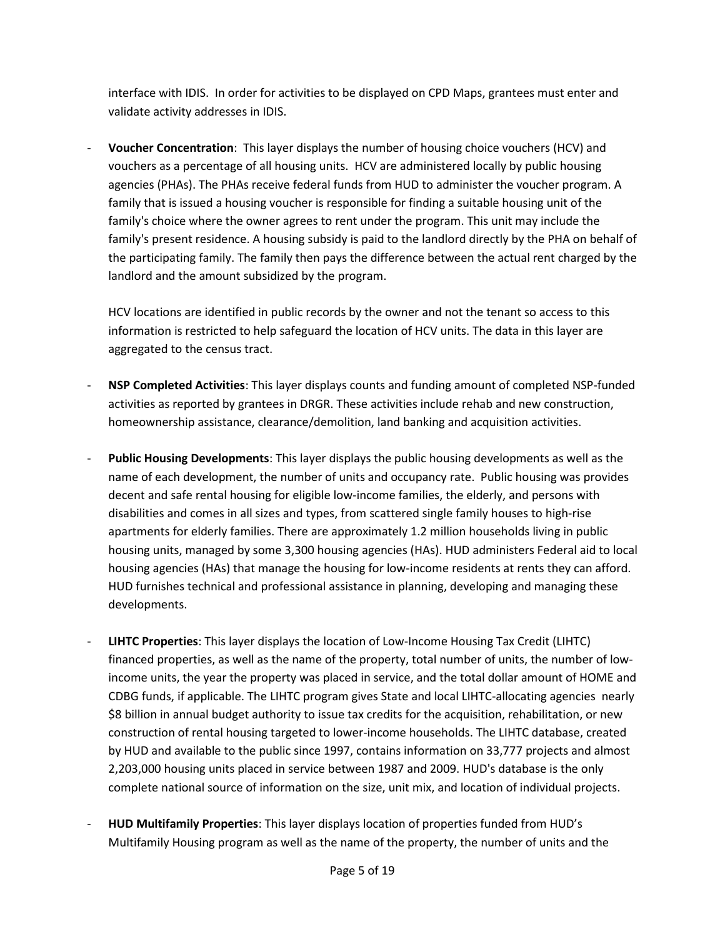interface with IDIS. In order for activities to be displayed on CPD Maps, grantees must enter and validate activity addresses in IDIS.

- **Voucher Concentration**: This layer displays the number of housing choice vouchers (HCV) and vouchers as a percentage of all housing units. HCV are administered locally by public housing agencies (PHAs). The PHAs receive federal funds from HUD to administer the voucher program. A family that is issued a housing voucher is responsible for finding a suitable housing unit of the family's choice where the owner agrees to rent under the program. This unit may include the family's present residence. A housing subsidy is paid to the landlord directly by the PHA on behalf of the participating family. The family then pays the difference between the actual rent charged by the landlord and the amount subsidized by the program.

HCV locations are identified in public records by the owner and not the tenant so access to this information is restricted to help safeguard the location of HCV units. The data in this layer are aggregated to the census tract.

- **NSP Completed Activities**: This layer displays counts and funding amount of completed NSP-funded activities as reported by grantees in DRGR. These activities include rehab and new construction, homeownership assistance, clearance/demolition, land banking and acquisition activities.
- **Public Housing Developments**: This layer displays the public housing developments as well as the name of each development, the number of units and occupancy rate. Public housing was provides decent and safe rental housing for eligible low-income families, the elderly, and persons with disabilities and comes in all sizes and types, from scattered single family houses to high-rise apartments for elderly families. There are approximately 1.2 million households living in public housing units, managed by some 3,300 housing agencies (HAs). HUD administers Federal aid to local housing agencies (HAs) that manage the housing for low-income residents at rents they can afford. HUD furnishes technical and professional assistance in planning, developing and managing these developments.
- **LIHTC Properties**: This layer displays the location of Low-Income Housing Tax Credit (LIHTC) financed properties, as well as the name of the property, total number of units, the number of lowincome units, the year the property was placed in service, and the total dollar amount of HOME and CDBG funds, if applicable. The LIHTC program gives [State and local LIHTC-allocating agencies](http://lihtc.huduser.org/agency_list.htm) nearly \$8 billion in annual budget authority to issue tax credits for the acquisition, rehabilitation, or new construction of rental housing targeted to lower-income households. The LIHTC database, created by HUD and available to the public since 1997, contains information on 33,777 projects and almost 2,203,000 housing units placed in service between 1987 and 2009. HUD's database is the only complete national source of information on the size, unit mix, and location of individual projects.
- **HUD Multifamily Properties**: This layer displays location of properties funded from HUD's Multifamily Housing program as well as the name of the property, the number of units and the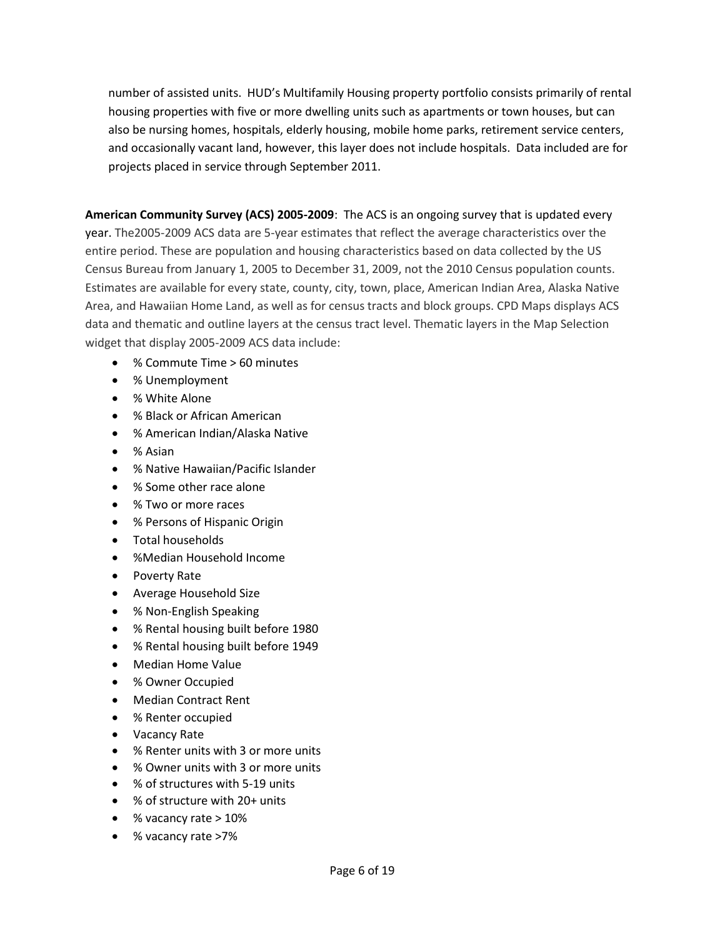number of assisted units. HUD's Multifamily Housing property portfolio consists primarily of rental housing properties with five or more dwelling units such as apartments or town houses, but can also be nursing homes, hospitals, elderly housing, mobile home parks, retirement service centers, and occasionally vacant land, however, this layer does not include hospitals. Data included are for projects placed in service through September 2011.

**American Community Survey (ACS) 2005-2009**: The ACS is an ongoing survey that is updated every year. The2005-2009 ACS data are 5-year estimates that reflect the average characteristics over the entire period. These are population and housing characteristics based on data collected by the US Census Bureau from January 1, 2005 to December 31, 2009, not the 2010 Census population counts. Estimates are available for every state, county, city, town, place, American Indian Area, Alaska Native Area, and Hawaiian Home Land, as well as for census tracts and block groups. CPD Maps displays ACS data and thematic and outline layers at the census tract level. Thematic layers in the Map Selection widget that display 2005-2009 ACS data include:

- % Commute Time > 60 minutes
- % Unemployment
- % White Alone
- % Black or African American
- % American Indian/Alaska Native
- % Asian
- % Native Hawaiian/Pacific Islander
- % Some other race alone
- % Two or more races
- % Persons of Hispanic Origin
- Total households
- %Median Household Income
- Poverty Rate
- Average Household Size
- % Non-English Speaking
- % Rental housing built before 1980
- % Rental housing built before 1949
- Median Home Value
- % Owner Occupied
- Median Contract Rent
- % Renter occupied
- Vacancy Rate
- % Renter units with 3 or more units
- % Owner units with 3 or more units
- % of structures with 5-19 units
- % of structure with 20+ units
- % vacancy rate > 10%
- % vacancy rate >7%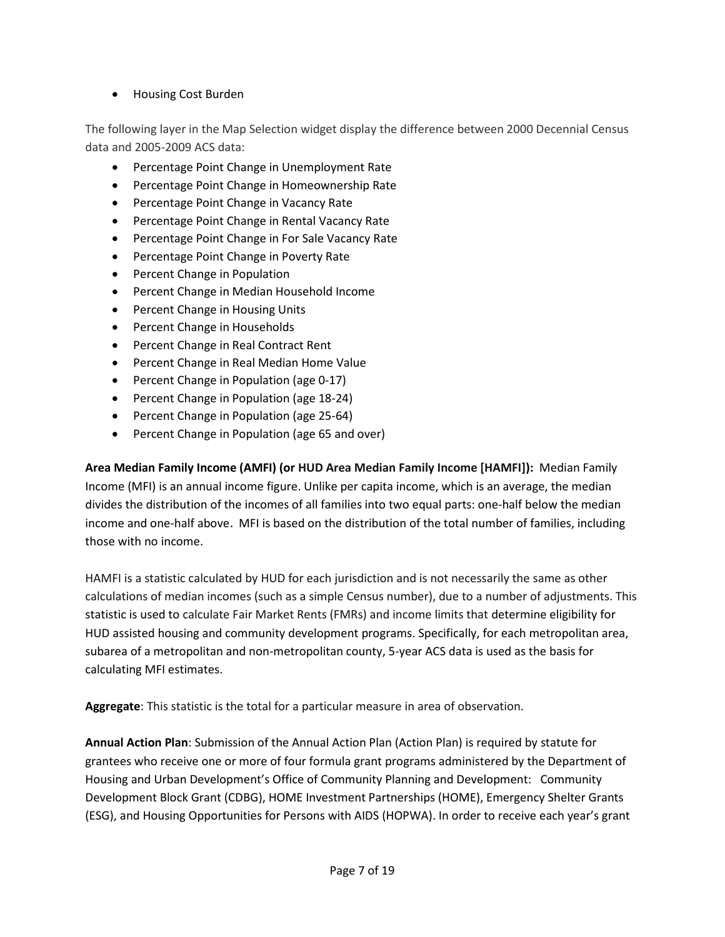Housing Cost Burden

The following layer in the Map Selection widget display the difference between 2000 Decennial Census data and 2005-2009 ACS data:

- Percentage Point Change in Unemployment Rate
- Percentage Point Change in Homeownership Rate
- **•** Percentage Point Change in Vacancy Rate
- Percentage Point Change in Rental Vacancy Rate
- Percentage Point Change in For Sale Vacancy Rate
- Percentage Point Change in Poverty Rate
- Percent Change in Population
- Percent Change in Median Household Income
- Percent Change in Housing Units
- Percent Change in Households
- Percent Change in Real Contract Rent
- Percent Change in Real Median Home Value
- Percent Change in Population (age 0-17)
- Percent Change in Population (age 18-24)
- Percent Change in Population (age 25-64)
- Percent Change in Population (age 65 and over)

**Area Median Family Income (AMFI) (or HUD Area Median Family Income [HAMFI]):** Median Family Income (MFI) is an annual income figure. Unlike per capita income, which is an average, the median divides the distribution of the incomes of all families into two equal parts: one-half below the median income and one-half above. MFI is based on the distribution of the total number of families, including those with no income.

HAMFI is a statistic calculated by HUD for each jurisdiction and is not necessarily the same as other calculations of median incomes (such as a simple Census number), due to a number of adjustments. This statistic is used to calculate Fair Market Rents (FMRs) and income limits that determine eligibility for HUD assisted housing and community development programs. Specifically, for each metropolitan area, subarea of a metropolitan and non-metropolitan county, 5-year ACS data is used as the basis for calculating MFI estimates.

**Aggregate**: This statistic is the total for a particular measure in area of observation.

**Annual Action Plan**: Submission of the Annual Action Plan (Action Plan) is required by statute for grantees who receive one or more of four formula grant programs administered by the Department of Housing and Urban Development's Office of Community Planning and Development: Community Development Block Grant (CDBG), HOME Investment Partnerships (HOME), Emergency Shelter Grants (ESG), and Housing Opportunities for Persons with AIDS (HOPWA). In order to receive each year's grant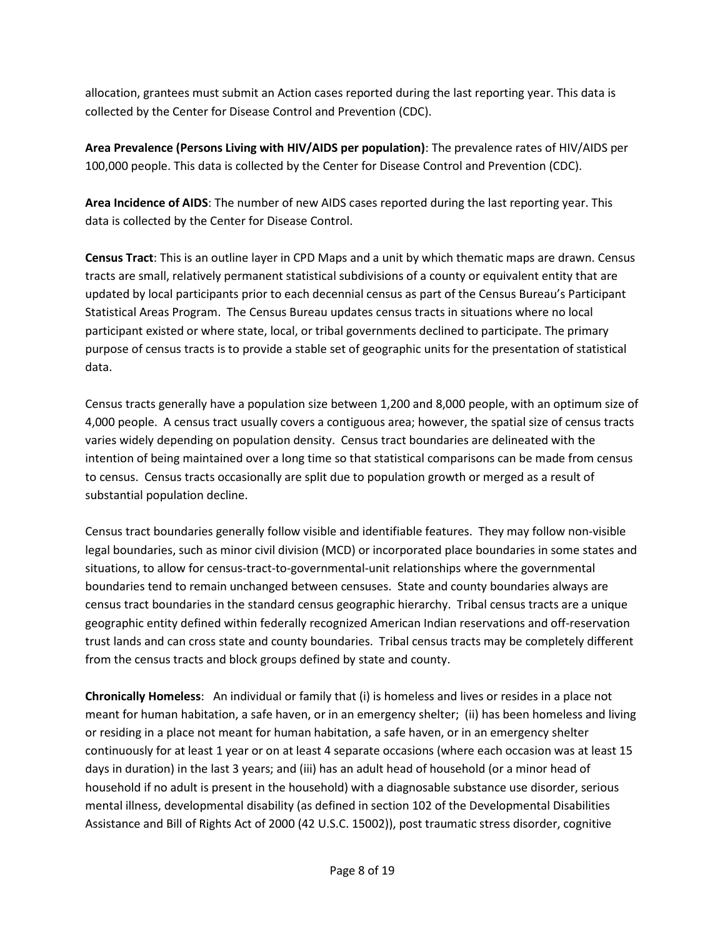allocation, grantees must submit an Action cases reported during the last reporting year. This data is collected by the Center for Disease Control and Prevention (CDC).

**Area Prevalence (Persons Living with HIV/AIDS per population)**: The prevalence rates of HIV/AIDS per 100,000 people. This data is collected by the Center for Disease Control and Prevention (CDC).

**Area Incidence of AIDS**: The number of new AIDS cases reported during the last reporting year. This data is collected by the Center for Disease Control.

**Census Tract**: This is an outline layer in CPD Maps and a unit by which thematic maps are drawn. Census tracts are small, relatively permanent statistical subdivisions of a county or equivalent entity that are updated by local participants prior to each decennial census as part of the Census Bureau's Participant Statistical Areas Program. The Census Bureau updates census tracts in situations where no local participant existed or where state, local, or tribal governments declined to participate. The primary purpose of census tracts is to provide a stable set of geographic units for the presentation of statistical data.

Census tracts generally have a population size between 1,200 and 8,000 people, with an optimum size of 4,000 people. A census tract usually covers a contiguous area; however, the spatial size of census tracts varies widely depending on population density. Census tract boundaries are delineated with the intention of being maintained over a long time so that statistical comparisons can be made from census to census. Census tracts occasionally are split due to population growth or merged as a result of substantial population decline.

Census tract boundaries generally follow visible and identifiable features. They may follow non-visible legal boundaries, such as minor civil division (MCD) or incorporated place boundaries in some states and situations, to allow for census-tract-to-governmental-unit relationships where the governmental boundaries tend to remain unchanged between censuses. State and county boundaries always are census tract boundaries in the standard census geographic hierarchy. Tribal census tracts are a unique geographic entity defined within federally recognized American Indian reservations and off-reservation trust lands and can cross state and county boundaries. Tribal census tracts may be completely different from the census tracts and block groups defined by state and county.

**Chronically Homeless**: An individual or family that (i) is homeless and lives or resides in a place not meant for human habitation, a safe haven, or in an emergency shelter; (ii) has been homeless and living or residing in a place not meant for human habitation, a safe haven, or in an emergency shelter continuously for at least 1 year or on at least 4 separate occasions (where each occasion was at least 15 days in duration) in the last 3 years; and (iii) has an adult head of household (or a minor head of household if no adult is present in the household) with a diagnosable substance use disorder, serious mental illness, developmental disability (as defined in section 102 of the Developmental Disabilities Assistance and Bill of Rights Act of 2000 (42 U.S.C. 15002)), post traumatic stress disorder, cognitive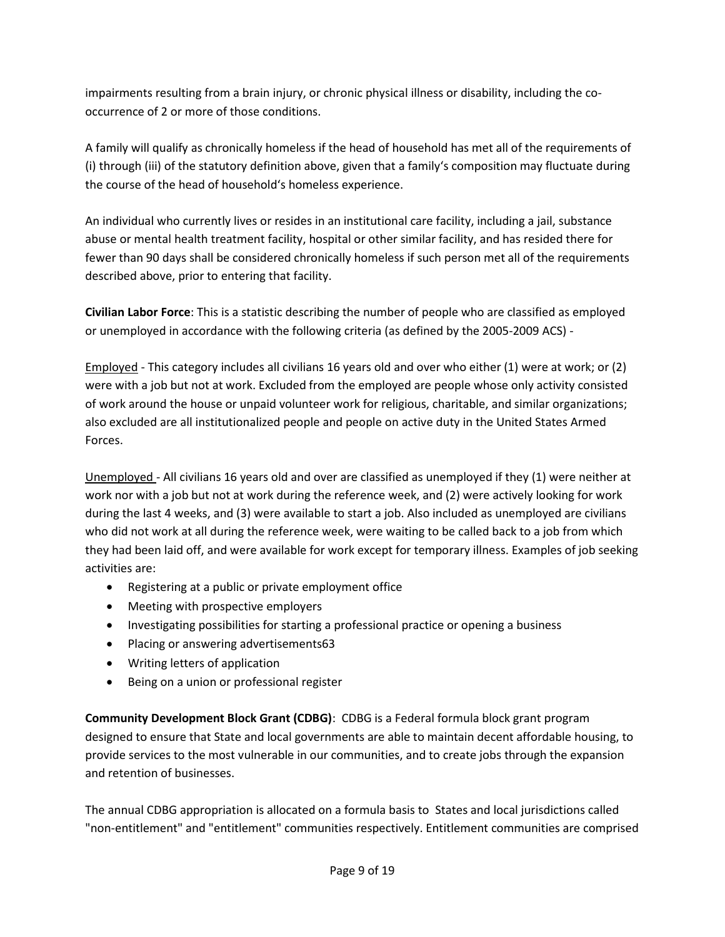impairments resulting from a brain injury, or chronic physical illness or disability, including the cooccurrence of 2 or more of those conditions.

A family will qualify as chronically homeless if the head of household has met all of the requirements of (i) through (iii) of the statutory definition above, given that a family's composition may fluctuate during the course of the head of household's homeless experience.

An individual who currently lives or resides in an institutional care facility, including a jail, substance abuse or mental health treatment facility, hospital or other similar facility, and has resided there for fewer than 90 days shall be considered chronically homeless if such person met all of the requirements described above, prior to entering that facility.

**Civilian Labor Force**: This is a statistic describing the number of people who are classified as employed or unemployed in accordance with the following criteria (as defined by the 2005-2009 ACS) -

Employed - This category includes all civilians 16 years old and over who either (1) were at work; or (2) were with a job but not at work. Excluded from the employed are people whose only activity consisted of work around the house or unpaid volunteer work for religious, charitable, and similar organizations; also excluded are all institutionalized people and people on active duty in the United States Armed Forces.

Unemployed - All civilians 16 years old and over are classified as unemployed if they (1) were neither at work nor with a job but not at work during the reference week, and (2) were actively looking for work during the last 4 weeks, and (3) were available to start a job. Also included as unemployed are civilians who did not work at all during the reference week, were waiting to be called back to a job from which they had been laid off, and were available for work except for temporary illness. Examples of job seeking activities are:

- Registering at a public or private employment office
- Meeting with prospective employers
- Investigating possibilities for starting a professional practice or opening a business
- Placing or answering advertisements63
- Writing letters of application
- Being on a union or professional register

**Community Development Block Grant (CDBG)**: CDBG is a Federal formula block grant program designed to ensure that State and local governments are able to maintain decent affordable housing, to provide services to the most vulnerable in our communities, and to create jobs through the expansion and retention of businesses.

The annual CDBG appropriation is allocated on a formula basis to States and local jurisdictions called "non-entitlement" and "entitlement" communities respectively. Entitlement communities are comprised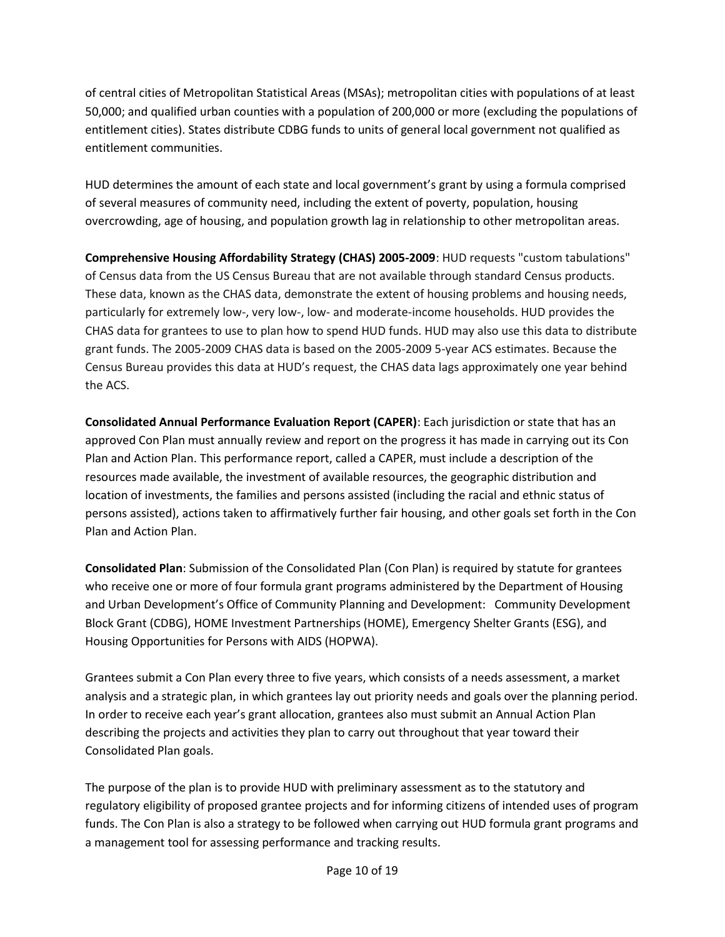of central cities of Metropolitan Statistical Areas (MSAs); metropolitan cities with populations of at least 50,000; and qualified urban counties with a population of 200,000 or more (excluding the populations of entitlement cities). States distribute CDBG funds to units of general local government not qualified as entitlement communities.

HUD determines the amount of each state and local government's grant by using a formula comprised of several measures of community need, including the extent of poverty, population, housing overcrowding, age of housing, and population growth lag in relationship to other metropolitan areas.

**Comprehensive Housing Affordability Strategy (CHAS) 2005-2009**: HUD requests "custom tabulations" of Census data from the US Census Bureau that are not available through standard Census products. These data, known as the CHAS data, demonstrate the extent of housing problems and housing needs, particularly for extremely low-, very low-, low- and moderate-income households. HUD provides the CHAS data for grantees to use to plan how to spend HUD funds. HUD may also use this data to distribute grant funds. The 2005-2009 CHAS data is based on the 2005-2009 5-year ACS estimates. Because the Census Bureau provides this data at HUD's request, the CHAS data lags approximately one year behind the ACS.

**Consolidated Annual Performance Evaluation Report (CAPER)**: Each jurisdiction or state that has an approved Con Plan must annually review and report on the progress it has made in carrying out its Con Plan and Action Plan. This performance report, called a CAPER, must include a description of the resources made available, the investment of available resources, the geographic distribution and location of investments, the families and persons assisted (including the racial and ethnic status of persons assisted), actions taken to affirmatively further fair housing, and other goals set forth in the Con Plan and Action Plan.

**Consolidated Plan**: Submission of the Consolidated Plan (Con Plan) is required by statute for grantees who receive one or more of four formula grant programs administered by the Department of Housing and Urban Development's Office of Community Planning and Development: Community Development Block Grant (CDBG), HOME Investment Partnerships (HOME), Emergency Shelter Grants (ESG), and Housing Opportunities for Persons with AIDS (HOPWA).

Grantees submit a Con Plan every three to five years, which consists of a needs assessment, a market analysis and a strategic plan, in which grantees lay out priority needs and goals over the planning period. In order to receive each year's grant allocation, grantees also must submit an Annual Action Plan describing the projects and activities they plan to carry out throughout that year toward their Consolidated Plan goals.

The purpose of the plan is to provide HUD with preliminary assessment as to the statutory and regulatory eligibility of proposed grantee projects and for informing citizens of intended uses of program funds. The Con Plan is also a strategy to be followed when carrying out HUD formula grant programs and a management tool for assessing performance and tracking results.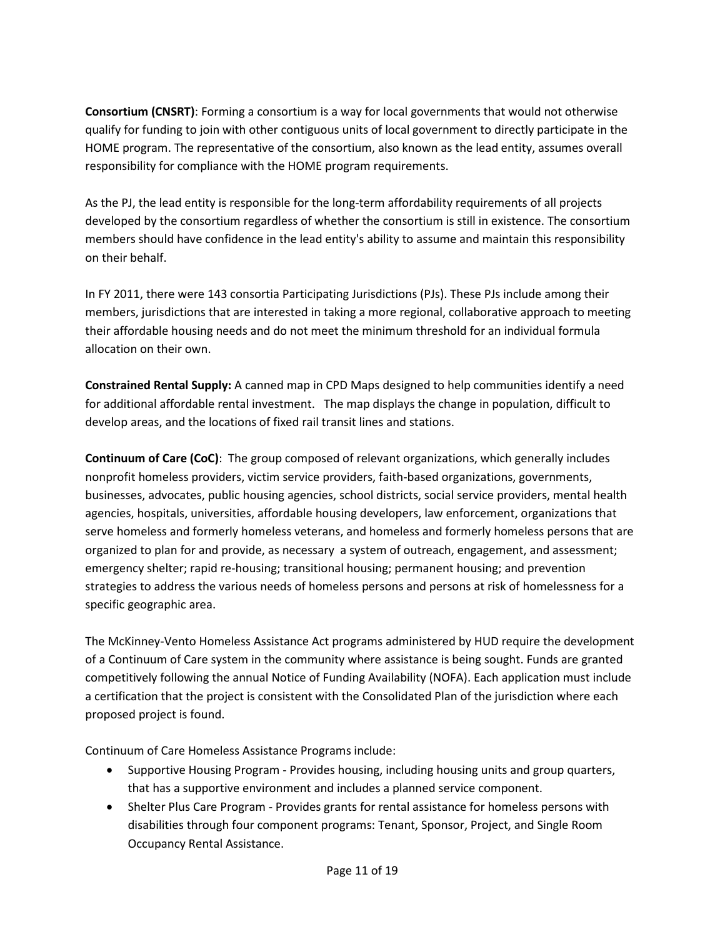**Consortium (CNSRT)**: Forming a consortium is a way for local governments that would not otherwise qualify for funding to join with other contiguous units of local government to directly participate in the HOME program. The representative of the consortium, also known as the lead entity, assumes overall responsibility for compliance with the HOME program requirements.

As the PJ, the lead entity is responsible for the long-term affordability requirements of all projects developed by the consortium regardless of whether the consortium is still in existence. The consortium members should have confidence in the lead entity's ability to assume and maintain this responsibility on their behalf.

In FY 2011, there were 143 consortia Participating Jurisdictions (PJs). These PJs include among their members, jurisdictions that are interested in taking a more regional, collaborative approach to meeting their affordable housing needs and do not meet the minimum threshold for an individual formula allocation on their own.

**Constrained Rental Supply:** A canned map in CPD Maps designed to help communities identify a need for additional affordable rental investment. The map displays the change in population, difficult to develop areas, and the locations of fixed rail transit lines and stations.

**Continuum of Care (CoC)**: The group composed of relevant organizations, which generally includes nonprofit homeless providers, victim service providers, faith-based organizations, governments, businesses, advocates, public housing agencies, school districts, social service providers, mental health agencies, hospitals, universities, affordable housing developers, law enforcement, organizations that serve homeless and formerly homeless veterans, and homeless and formerly homeless persons that are organized to plan for and provide, as necessary a system of outreach, engagement, and assessment; emergency shelter; rapid re-housing; transitional housing; permanent housing; and prevention strategies to address the various needs of homeless persons and persons at risk of homelessness for a specific geographic area.

The McKinney-Vento Homeless Assistance Act programs administered by HUD require the development of a Continuum of Care system in the community where assistance is being sought. Funds are granted competitively following the annual Notice of Funding Availability (NOFA). Each application must include a certification that the project is consistent with the Consolidated Plan of the jurisdiction where each proposed project is found.

Continuum of Care Homeless Assistance Programs include:

- [Supportive Housing Program](http://portal.hud.gov/hudportal/HUD/program_offices/comm_planning/homeless/programs/shp) Provides housing, including housing units and group quarters, that has a supportive environment and includes a planned service component.
- [Shelter Plus Care Program](http://portal.hud.gov/hudportal/HUD/program_offices/comm_planning/homeless/programs/splusc) Provides grants for rental assistance for homeless persons with disabilities through four component programs: Tenant, Sponsor, Project, and Single Room Occupancy Rental Assistance.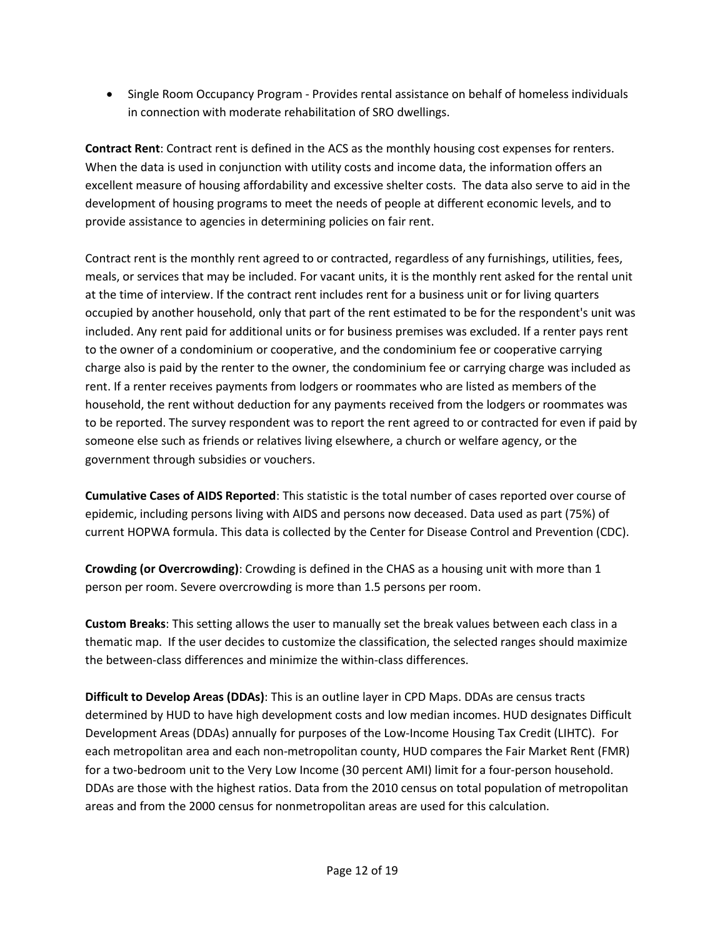• [Single Room Occupancy Program](http://portal.hud.gov/hudportal/HUD/program_offices/comm_planning/homeless/programs/sro) - Provides rental assistance on behalf of homeless individuals in connection with moderate rehabilitation of SRO dwellings.

**Contract Rent**: Contract rent is defined in the ACS as the monthly housing cost expenses for renters. When the data is used in conjunction with utility costs and income data, the information offers an excellent measure of housing affordability and excessive shelter costs. The data also serve to aid in the development of housing programs to meet the needs of people at different economic levels, and to provide assistance to agencies in determining policies on fair rent.

Contract rent is the monthly rent agreed to or contracted, regardless of any furnishings, utilities, fees, meals, or services that may be included. For vacant units, it is the monthly rent asked for the rental unit at the time of interview. If the contract rent includes rent for a business unit or for living quarters occupied by another household, only that part of the rent estimated to be for the respondent's unit was included. Any rent paid for additional units or for business premises was excluded. If a renter pays rent to the owner of a condominium or cooperative, and the condominium fee or cooperative carrying charge also is paid by the renter to the owner, the condominium fee or carrying charge was included as rent. If a renter receives payments from lodgers or roommates who are listed as members of the household, the rent without deduction for any payments received from the lodgers or roommates was to be reported. The survey respondent was to report the rent agreed to or contracted for even if paid by someone else such as friends or relatives living elsewhere, a church or welfare agency, or the government through subsidies or vouchers.

**Cumulative Cases of AIDS Reported**: This statistic is the total number of cases reported over course of epidemic, including persons living with AIDS and persons now deceased. Data used as part (75%) of current HOPWA formula. This data is collected by the Center for Disease Control and Prevention (CDC).

**Crowding (or Overcrowding)**: Crowding is defined in the CHAS as a housing unit with more than 1 person per room. Severe overcrowding is more than 1.5 persons per room.

**Custom Breaks**: This setting allows the user to manually set the break values between each class in a thematic map. If the user decides to customize the classification, the selected ranges should maximize the between-class differences and minimize the within-class differences.

**Difficult to Develop Areas (DDAs)**: This is an outline layer in CPD Maps. DDAs are census tracts determined by HUD to have high development costs and low median incomes. HUD designates Difficult Development Areas (DDAs) annually for purposes of the Low-Income Housing Tax Credit (LIHTC). For each metropolitan area and each non-metropolitan county, HUD compares the Fair Market Rent (FMR) for a two-bedroom unit to the Very Low Income (30 percent AMI) limit for a four-person household. DDAs are those with the highest ratios. Data from the 2010 census on total population of metropolitan areas and from the 2000 census for nonmetropolitan areas are used for this calculation.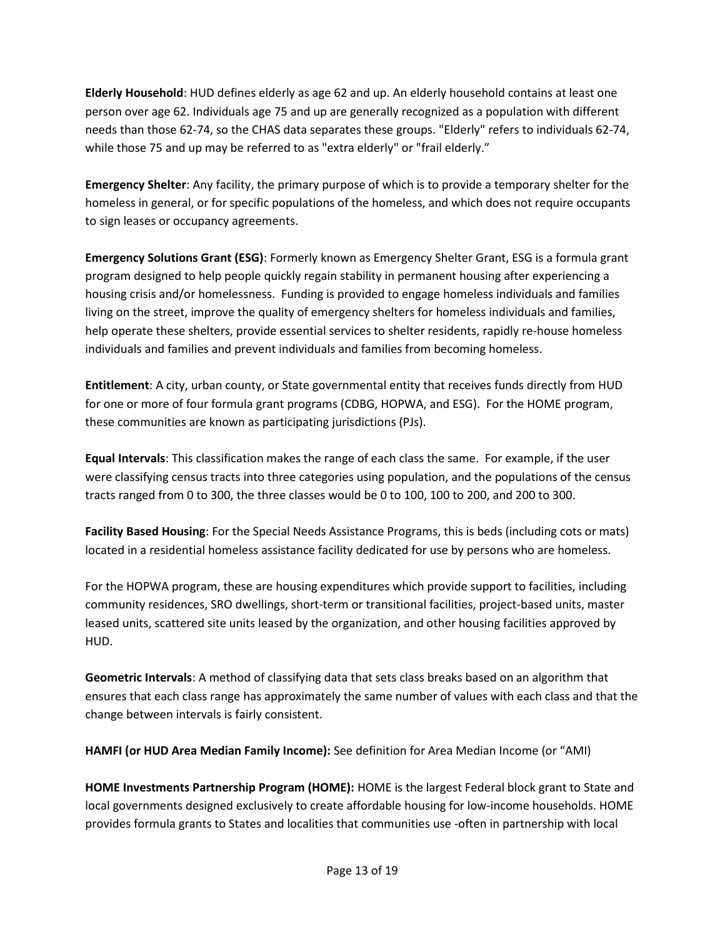**Elderly Household**: HUD defines elderly as age 62 and up. An elderly household contains at least one person over age 62. Individuals age 75 and up are generally recognized as a population with different needs than those 62-74, so the CHAS data separates these groups. "Elderly" refers to individuals 62-74, while those 75 and up may be referred to as "extra elderly" or "frail elderly."

**Emergency Shelter**: Any facility, the primary purpose of which is to provide a temporary shelter for the homeless in general, or for specific populations of the homeless, and which does not require occupants to sign leases or occupancy agreements.

**Emergency Solutions Grant (ESG)**: Formerly known as Emergency Shelter Grant, ESG is a formula grant program designed to help people quickly regain stability in permanent housing after experiencing a housing crisis and/or homelessness. Funding is provided to engage homeless individuals and families living on the street, improve the quality of emergency shelters for homeless individuals and families, help operate these shelters, provide essential services to shelter residents, rapidly re-house homeless individuals and families and prevent individuals and families from becoming homeless.

**Entitlement**: A city, urban county, or State governmental entity that receives funds directly from HUD for one or more of four formula grant programs (CDBG, HOPWA, and ESG). For the HOME program, these communities are known as participating jurisdictions (PJs).

**Equal Intervals**: This classification makes the range of each class the same. For example, if the user were classifying census tracts into three categories using population, and the populations of the census tracts ranged from 0 to 300, the three classes would be 0 to 100, 100 to 200, and 200 to 300.

**Facility Based Housing**: For the Special Needs Assistance Programs, this is beds (including cots or mats) located in a residential homeless assistance facility dedicated for use by persons who are homeless.

For the HOPWA program, these are housing expenditures which provide support to facilities, including community residences, SRO dwellings, short-term or transitional facilities, project-based units, master leased units, scattered site units leased by the organization, and other housing facilities approved by HUD.

**Geometric Intervals**: A method of classifying data that sets class breaks based on an algorithm that ensures that each class range has approximately the same number of values with each class and that the change between intervals is fairly consistent.

**HAMFI (or HUD Area Median Family Income):** See definition for Area Median Income (or "AMI)

**HOME Investments Partnership Program (HOME):** HOME is the largest Federal block grant to State and local governments designed exclusively to create affordable housing for low-income households. HOME provides formula grants to States and localities that communities use -often in partnership with local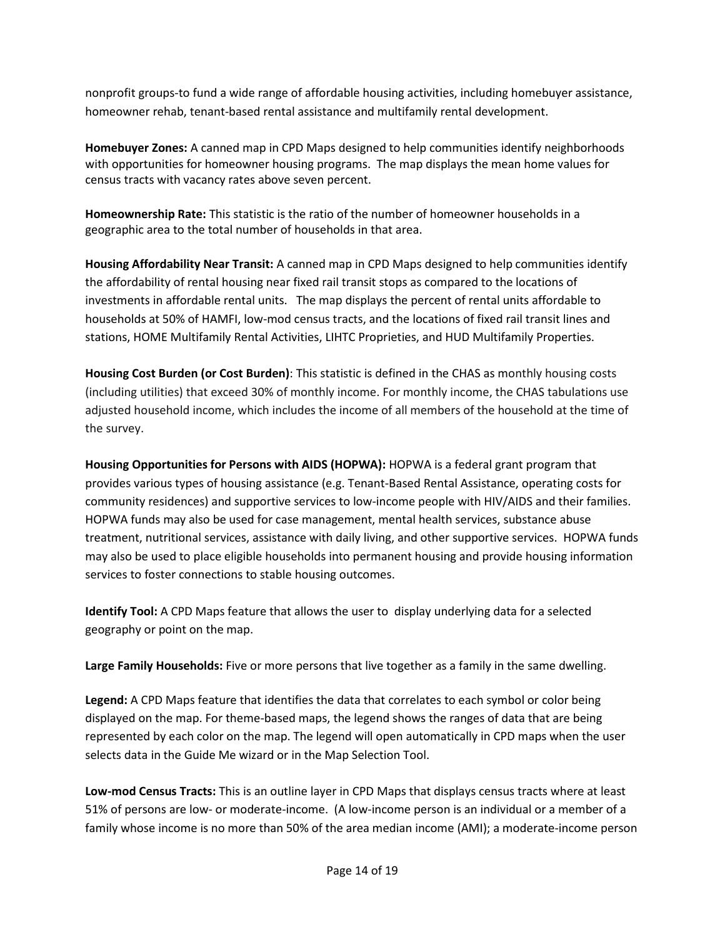nonprofit groups-to fund a wide range of affordable housing activities, including homebuyer assistance, homeowner rehab, tenant-based rental assistance and multifamily rental development.

**Homebuyer Zones:** A canned map in CPD Maps designed to help communities identify neighborhoods with opportunities for homeowner housing programs. The map displays the mean home values for census tracts with vacancy rates above seven percent.

**Homeownership Rate:** This statistic is the ratio of the number of homeowner households in a geographic area to the total number of households in that area.

**Housing Affordability Near Transit:** A canned map in CPD Maps designed to help communities identify the affordability of rental housing near fixed rail transit stops as compared to the locations of investments in affordable rental units. The map displays the percent of rental units affordable to households at 50% of HAMFI, low-mod census tracts, and the locations of fixed rail transit lines and stations, HOME Multifamily Rental Activities, LIHTC Proprieties, and HUD Multifamily Properties.

**Housing Cost Burden (or Cost Burden)**: This statistic is defined in the CHAS as monthly housing costs (including utilities) that exceed 30% of monthly income. For monthly income, the CHAS tabulations use adjusted household income, which includes the income of all members of the household at the time of the survey.

**Housing Opportunities for Persons with AIDS (HOPWA):** HOPWA is a federal grant program that provides various types of housing assistance (e.g. Tenant-Based Rental Assistance, operating costs for community residences) and supportive services to low-income people with HIV/AIDS and their families. HOPWA funds may also be used for case management, mental health services, substance abuse treatment, nutritional services, assistance with daily living, and other supportive services. HOPWA funds may also be used to place eligible households into permanent housing and provide housing information services to foster connections to stable housing outcomes.

**Identify Tool:** A CPD Maps feature that allows the user to display underlying data for a selected geography or point on the map.

**Large Family Households:** Five or more persons that live together as a family in the same dwelling.

**Legend:** A CPD Maps feature that identifies the data that correlates to each symbol or color being displayed on the map. For theme-based maps, the legend shows the ranges of data that are being represented by each color on the map. The legend will open automatically in CPD maps when the user selects data in the Guide Me wizard or in the Map Selection Tool.

**Low-mod Census Tracts:** This is an outline layer in CPD Maps that displays census tracts where at least 51% of persons are low- or moderate-income. (A low-income person is an individual or a member of a family whose income is no more than 50% of the area median income (AMI); a moderate-income person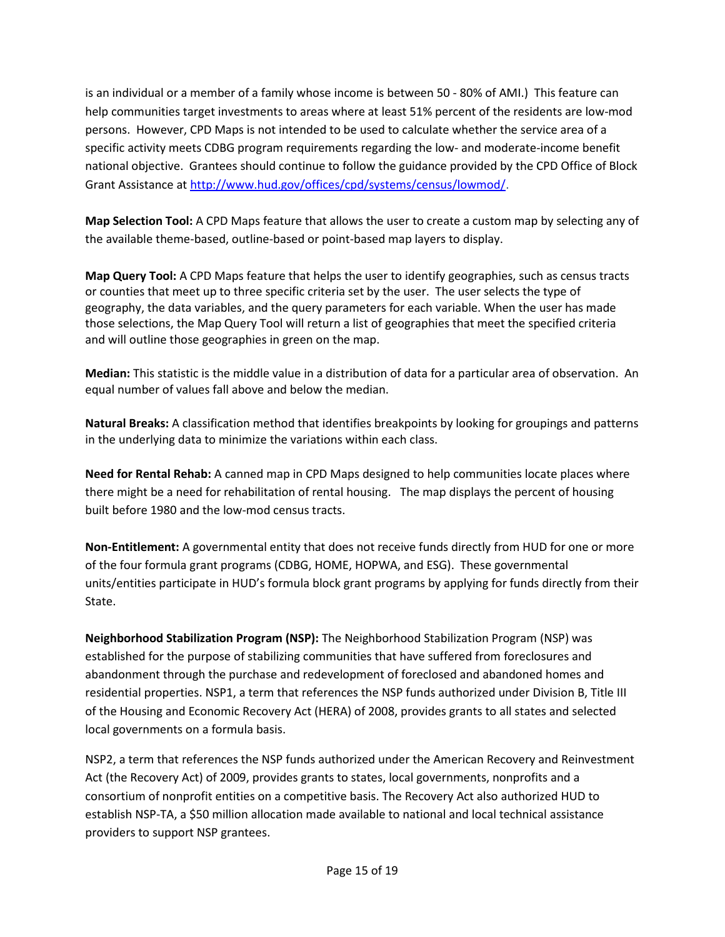is an individual or a member of a family whose income is between 50 - 80% of AMI.) This feature can help communities target investments to areas where at least 51% percent of the residents are low-mod persons. However, CPD Maps is not intended to be used to calculate whether the service area of a specific activity meets CDBG program requirements regarding the low- and moderate-income benefit national objective. Grantees should continue to follow the guidance provided by the CPD Office of Block Grant Assistance at <http://www.hud.gov/offices/cpd/systems/census/lowmod/>.

**Map Selection Tool:** A CPD Maps feature that allows the user to create a custom map by selecting any of the available theme-based, outline-based or point-based map layers to display.

**Map Query Tool:** A CPD Maps feature that helps the user to identify geographies, such as census tracts or counties that meet up to three specific criteria set by the user. The user selects the type of geography, the data variables, and the query parameters for each variable. When the user has made those selections, the Map Query Tool will return a list of geographies that meet the specified criteria and will outline those geographies in green on the map.

**Median:** This statistic is the middle value in a distribution of data for a particular area of observation. An equal number of values fall above and below the median.

**Natural Breaks:** A classification method that identifies breakpoints by looking for groupings and patterns in the underlying data to minimize the variations within each class.

**Need for Rental Rehab:** A canned map in CPD Maps designed to help communities locate places where there might be a need for rehabilitation of rental housing. The map displays the percent of housing built before 1980 and the low-mod census tracts.

**Non-Entitlement:** A governmental entity that does not receive funds directly from HUD for one or more of the four formula grant programs (CDBG, HOME, HOPWA, and ESG). These governmental units/entities participate in HUD's formula block grant programs by applying for funds directly from their State.

**Neighborhood Stabilization Program (NSP):** The Neighborhood Stabilization Program (NSP) was established for the purpose of stabilizing communities that have suffered from foreclosures and abandonment through the purchase and redevelopment of foreclosed and abandoned homes and residential properties. [NSP1,](http://portal.hud.gov/hudportal/HUD/program_offices/comm_planning/communitydevelopment/programs/neighborhoodspg/nsp1) a term that references the NSP funds authorized under [Division B, Title III](http://portal.hud.gov/hudportal/documents/huddoc?id=DOC_12714.pdf) [of the Housing and Economic Recovery Act \(HERA\) of 2008](http://portal.hud.gov/hudportal/documents/huddoc?id=DOC_12714.pdf), provides grants to all states and selected local governments on a formula basis.

[NSP2](http://portal.hud.gov/hudportal/HUD/program_offices/comm_planning/communitydevelopment/programs/neighborhoodspg/arrafactsheet), a term that references the NSP funds authorized under the American Recovery and Reinvestment Act (the Recovery Act) of 2009, provides grants to states, local governments, nonprofits and a consortium of nonprofit entities on a competitive basis. The Recovery Act also authorized HUD to establish [NSP-TA](http://portal.hud.gov/hudportal/HUD/program_offices/comm_planning/communitydevelopment/programs/neighborhoodspg/nspta), a \$50 million allocation made available to national and local technical assistance providers to support NSP grantees.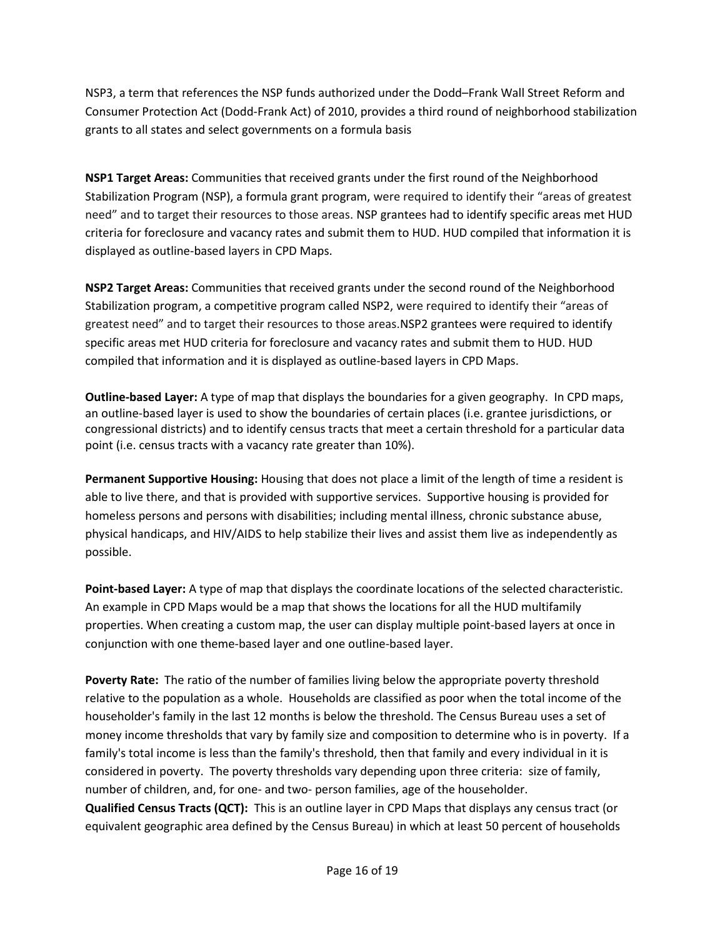[NSP3](http://portal.hud.gov/hudportal/HUD/program_offices/comm_planning/communitydevelopment/programs/neighborhoodspg/nsp3), a term that references the NSP funds authorized under the Dodd–Frank Wall Street Reform and Consumer Protection Act (Dodd-Frank Act) of 2010, provides a third round of neighborhood stabilization grants to all states and select governments on a formula basis

**NSP1 Target Areas:** Communities that received grants under the first round of the Neighborhood Stabilization Program (NSP), a formula grant program, were required to identify their "areas of greatest need" and to target their resources to those areas. NSP grantees had to identify specific areas met HUD criteria for foreclosure and vacancy rates and submit them to HUD. HUD compiled that information it is displayed as outline-based layers in CPD Maps.

**NSP2 Target Areas:** Communities that received grants under the second round of the Neighborhood Stabilization program, a competitive program called NSP2, were required to identify their "areas of greatest need" and to target their resources to those areas.NSP2 grantees were required to identify specific areas met HUD criteria for foreclosure and vacancy rates and submit them to HUD. HUD compiled that information and it is displayed as outline-based layers in CPD Maps.

**Outline-based Layer:** A type of map that displays the boundaries for a given geography. In CPD maps, an outline-based layer is used to show the boundaries of certain places (i.e. grantee jurisdictions, or congressional districts) and to identify census tracts that meet a certain threshold for a particular data point (i.e. census tracts with a vacancy rate greater than 10%).

**Permanent Supportive Housing:** Housing that does not place a limit of the length of time a resident is able to live there, and that is provided with supportive services. Supportive housing is provided for homeless persons and persons with disabilities; including mental illness, chronic substance abuse, physical handicaps, and HIV/AIDS to help stabilize their lives and assist them live as independently as possible.

**Point-based Layer:** A type of map that displays the coordinate locations of the selected characteristic. An example in CPD Maps would be a map that shows the locations for all the HUD multifamily properties. When creating a custom map, the user can display multiple point-based layers at once in conjunction with one theme-based layer and one outline-based layer.

**Poverty Rate:** The ratio of the number of families living below the appropriate poverty threshold relative to the population as a whole. Households are classified as poor when the total income of the householder's family in the last 12 months is below the threshold. The Census Bureau uses a set of money income thresholds that vary by family size and composition to determine who is in poverty. If a family's total income is less than the family's threshold, then that family and every individual in it is considered in poverty. The poverty thresholds vary depending upon three criteria: size of family, number of children, and, for one- and two- person families, age of the householder.

**Qualified Census Tracts (QCT):** This is an outline layer in CPD Maps that displays any census tract (or equivalent geographic area defined by the Census Bureau) in which at least 50 percent of households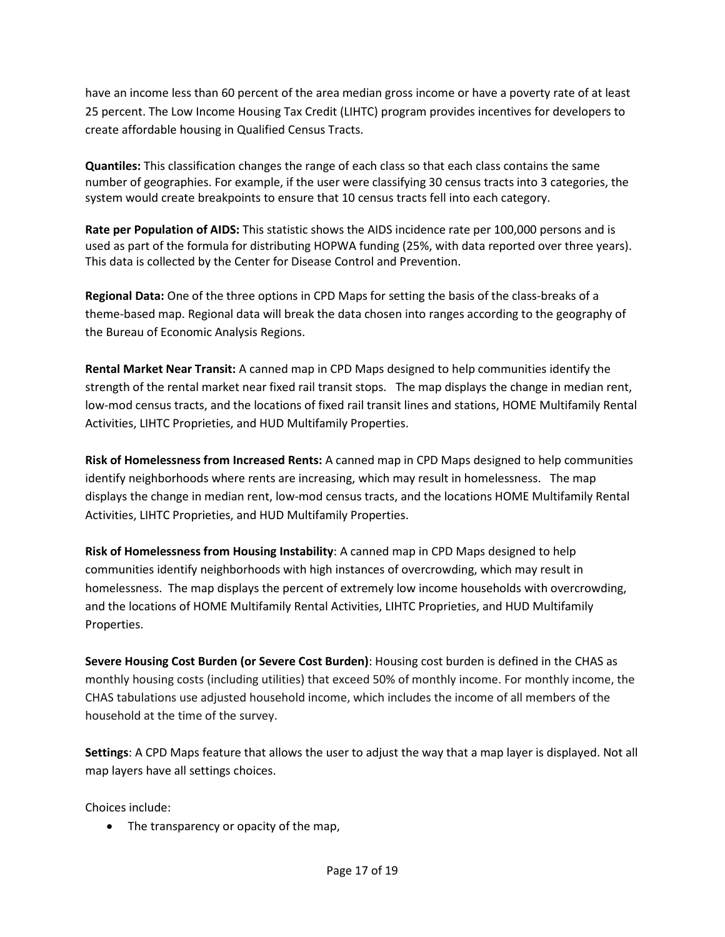have an income less than 60 percent of the area median gross income or have a poverty rate of at least 25 percent. The Low Income Housing Tax Credit (LIHTC) program provides incentives for developers to create affordable housing in Qualified Census Tracts.

**Quantiles:** This classification changes the range of each class so that each class contains the same number of geographies. For example, if the user were classifying 30 census tracts into 3 categories, the system would create breakpoints to ensure that 10 census tracts fell into each category.

**Rate per Population of AIDS:** This statistic shows the AIDS incidence rate per 100,000 persons and is used as part of the formula for distributing HOPWA funding (25%, with data reported over three years). This data is collected by the Center for Disease Control and Prevention.

**Regional Data:** One of the three options in CPD Maps for setting the basis of the class-breaks of a theme-based map. Regional data will break the data chosen into ranges according to the geography of the Bureau of Economic Analysis Regions.

**Rental Market Near Transit:** A canned map in CPD Maps designed to help communities identify the strength of the rental market near fixed rail transit stops. The map displays the change in median rent, low-mod census tracts, and the locations of fixed rail transit lines and stations, HOME Multifamily Rental Activities, LIHTC Proprieties, and HUD Multifamily Properties.

**Risk of Homelessness from Increased Rents:** A canned map in CPD Maps designed to help communities identify neighborhoods where rents are increasing, which may result in homelessness. The map displays the change in median rent, low-mod census tracts, and the locations HOME Multifamily Rental Activities, LIHTC Proprieties, and HUD Multifamily Properties.

**Risk of Homelessness from Housing Instability**: A canned map in CPD Maps designed to help communities identify neighborhoods with high instances of overcrowding, which may result in homelessness. The map displays the percent of extremely low income households with overcrowding, and the locations of HOME Multifamily Rental Activities, LIHTC Proprieties, and HUD Multifamily Properties.

**Severe Housing Cost Burden (or Severe Cost Burden)**: Housing cost burden is defined in the CHAS as monthly housing costs (including utilities) that exceed 50% of monthly income. For monthly income, the CHAS tabulations use adjusted household income, which includes the income of all members of the household at the time of the survey.

**Settings**: A CPD Maps feature that allows the user to adjust the way that a map layer is displayed. Not all map layers have all settings choices.

Choices include:

• The transparency or opacity of the map,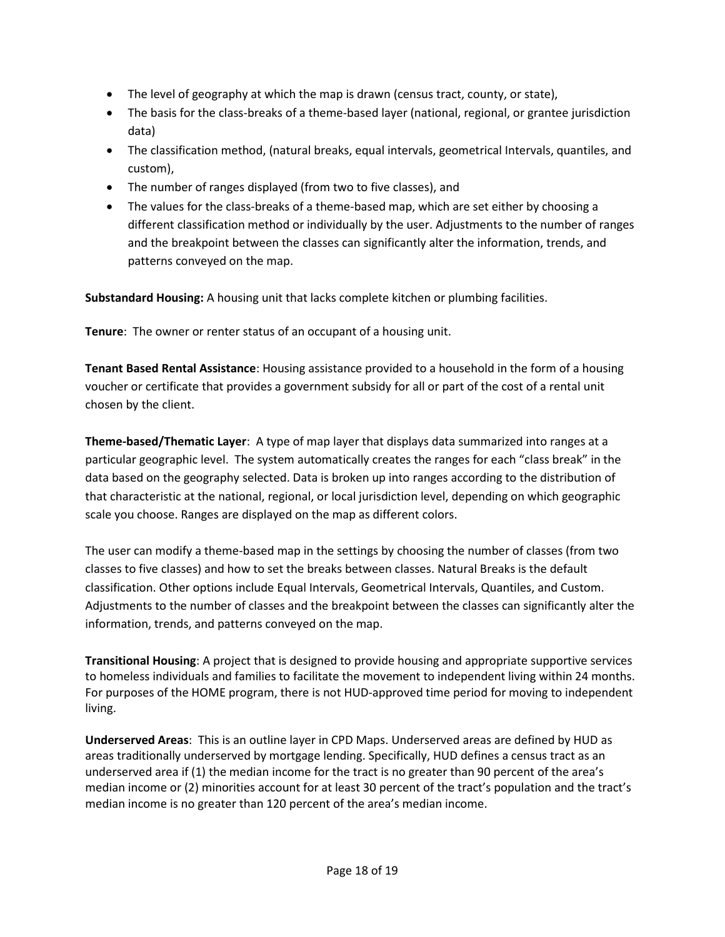- The level of geography at which the map is drawn (census tract, county, or state),
- The basis for the class-breaks of a theme-based layer (national, regional, or grantee jurisdiction data)
- The classification method, (natural breaks, equal intervals, geometrical Intervals, quantiles, and custom),
- The number of ranges displayed (from two to five classes), and
- The values for the class-breaks of a theme-based map, which are set either by choosing a different classification method or individually by the user. Adjustments to the number of ranges and the breakpoint between the classes can significantly alter the information, trends, and patterns conveyed on the map.

**Substandard Housing:** A housing unit that lacks complete kitchen or plumbing facilities.

**Tenure**: The owner or renter status of an occupant of a housing unit.

**Tenant Based Rental Assistance**: Housing assistance provided to a household in the form of a housing voucher or certificate that provides a government subsidy for all or part of the cost of a rental unit chosen by the client.

**Theme-based/Thematic Layer**: A type of map layer that displays data summarized into ranges at a particular geographic level. The system automatically creates the ranges for each "class break" in the data based on the geography selected. Data is broken up into ranges according to the distribution of that characteristic at the national, regional, or local jurisdiction level, depending on which geographic scale you choose. Ranges are displayed on the map as different colors.

The user can modify a theme-based map in the settings by choosing the number of classes (from two classes to five classes) and how to set the breaks between classes. Natural Breaks is the default classification. Other options include Equal Intervals, Geometrical Intervals, Quantiles, and Custom. Adjustments to the number of classes and the breakpoint between the classes can significantly alter the information, trends, and patterns conveyed on the map.

**Transitional Housing**: A project that is designed to provide housing and appropriate supportive services to homeless individuals and families to facilitate the movement to independent living within 24 months. For purposes of the HOME program, there is not HUD-approved time period for moving to independent living.

**Underserved Areas**: This is an outline layer in CPD Maps. Underserved areas are defined by HUD as areas traditionally underserved by mortgage lending. Specifically, HUD defines a census tract as an underserved area if (1) the median income for the tract is no greater than 90 percent of the area's median income or (2) minorities account for at least 30 percent of the tract's population and the tract's median income is no greater than 120 percent of the area's median income.